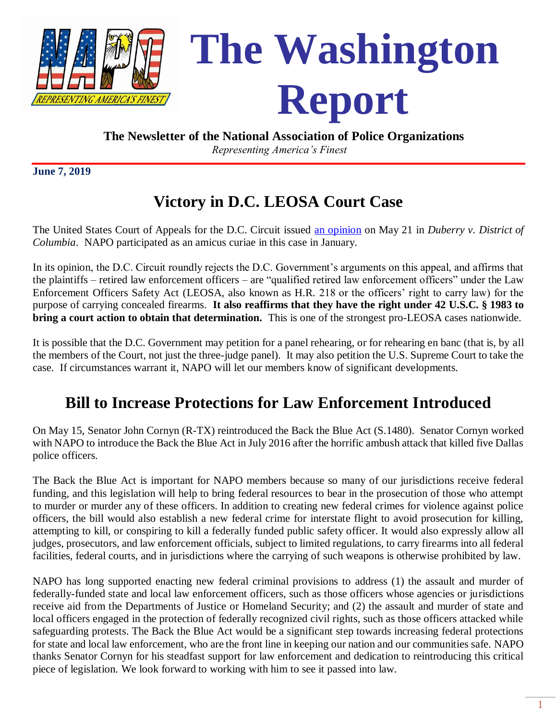

#### **The Newsletter of the National Association of Police Organizations**

*Representing America's Finest*

**June 7, 2019**

## **Victory in D.C. LEOSA Court Case**

The United States Court of Appeals for the D.C. Circuit issued [an opinion](file:///C:/Users/BJohnson/AppData/Local/Microsoft/Windows/INetCache/Court%20Cases/Duberry%20opinion%20May%2021%202019.pdf) on May 21 in *Duberry v. District of Columbia*. NAPO participated as an amicus curiae in this case in January.

In its opinion, the D.C. Circuit roundly rejects the D.C. Government's arguments on this appeal, and affirms that the plaintiffs – retired law enforcement officers – are "qualified retired law enforcement officers" under the Law Enforcement Officers Safety Act (LEOSA, also known as H.R. 218 or the officers' right to carry law) for the purpose of carrying concealed firearms. **It also reaffirms that they have the right under 42 U.S.C. § 1983 to bring a court action to obtain that determination.** This is one of the strongest pro-LEOSA cases nationwide.

It is possible that the D.C. Government may petition for a panel rehearing, or for rehearing en banc (that is, by all the members of the Court, not just the three-judge panel). It may also petition the U.S. Supreme Court to take the case. If circumstances warrant it, NAPO will let our members know of significant developments.

### **Bill to Increase Protections for Law Enforcement Introduced**

On May 15, Senator John Cornyn (R-TX) reintroduced the Back the Blue Act (S.1480). Senator Cornyn worked with NAPO to introduce the Back the Blue Act in July 2016 after the horrific ambush attack that killed five Dallas police officers.

The Back the Blue Act is important for NAPO members because so many of our jurisdictions receive federal funding, and this legislation will help to bring federal resources to bear in the prosecution of those who attempt to murder or murder any of these officers. In addition to creating new federal crimes for violence against police officers, the bill would also establish a new federal crime for interstate flight to avoid prosecution for killing, attempting to kill, or conspiring to kill a federally funded public safety officer. It would also expressly allow all judges, prosecutors, and law enforcement officials, subject to limited regulations, to carry firearms into all federal facilities, federal courts, and in jurisdictions where the carrying of such weapons is otherwise prohibited by law.

NAPO has long supported enacting new federal criminal provisions to address (1) the assault and murder of federally-funded state and local law enforcement officers, such as those officers whose agencies or jurisdictions receive aid from the Departments of Justice or Homeland Security; and (2) the assault and murder of state and local officers engaged in the protection of federally recognized civil rights, such as those officers attacked while safeguarding protests. The Back the Blue Act would be a significant step towards increasing federal protections for state and local law enforcement, who are the front line in keeping our nation and our communities safe. NAPO thanks Senator Cornyn for his steadfast support for law enforcement and dedication to reintroducing this critical piece of legislation. We look forward to working with him to see it passed into law.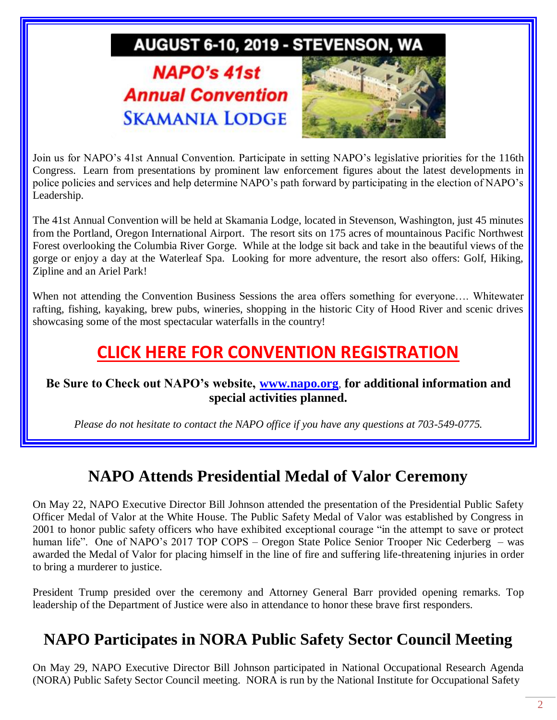# AUGUST 6-10, 2019 - STEVENSON, WA

# **NAPO's 41st Annual Convention SKAMANIA LODGE**



Join us for NAPO's 41st Annual Convention. Participate in setting NAPO's legislative priorities for the 116th Congress. Learn from presentations by prominent law enforcement figures about the latest developments in police policies and services and help determine NAPO's path forward by participating in the election of NAPO's Leadership.

The 41st Annual Convention will be held at Skamania Lodge, located in Stevenson, Washington, just 45 minutes from the Portland, Oregon International Airport. The resort sits on 175 acres of mountainous Pacific Northwest Forest overlooking the Columbia River Gorge. While at the lodge sit back and take in the beautiful views of the gorge or enjoy a day at the Waterleaf Spa. Looking for more adventure, the resort also offers: Golf, Hiking, Zipline and an Ariel Park!

When not attending the Convention Business Sessions the area offers something for everyone…. Whitewater rafting, fishing, kayaking, brew pubs, wineries, shopping in the historic City of Hood River and scenic drives showcasing some of the most spectacular waterfalls in the country!

## **[CLICK HERE FOR CONVENTION REGISTRATION](http://www.napo.org/events/upcoming-events/napos-41st-annual-convention/registration/)**

#### **Be Sure to Check out NAPO's website, [www.napo.org](http://www.napo.org/)**, **for additional information and special activities planned.**

*Please do not hesitate to contact the NAPO office if you have any questions at 703-549-0775.*

### **NAPO Attends Presidential Medal of Valor Ceremony**

On May 22, NAPO Executive Director Bill Johnson attended the presentation of the Presidential Public Safety Officer Medal of Valor at the White House. The Public Safety Medal of Valor was established by Congress in 2001 to honor public safety officers who have exhibited exceptional courage "in the attempt to save or protect human life". One of NAPO's 2017 TOP COPS – Oregon State Police [Senior Trooper Nic](https://www.bja.gov/programs/medalofvalor/awardees/16-17-cederberg.html) Cederberg – was awarded the Medal of Valor for placing himself in the line of fire and suffering life-threatening injuries in order to bring a murderer to justice.

President Trump presided over the ceremony and Attorney General Barr provided opening remarks. Top leadership of the Department of Justice were also in attendance to honor these brave first responders.

#### **NAPO Participates in NORA Public Safety Sector Council Meeting**

On May 29, NAPO Executive Director Bill Johnson participated in National Occupational Research Agenda (NORA) Public Safety Sector Council meeting. NORA is run by the National Institute for Occupational Safety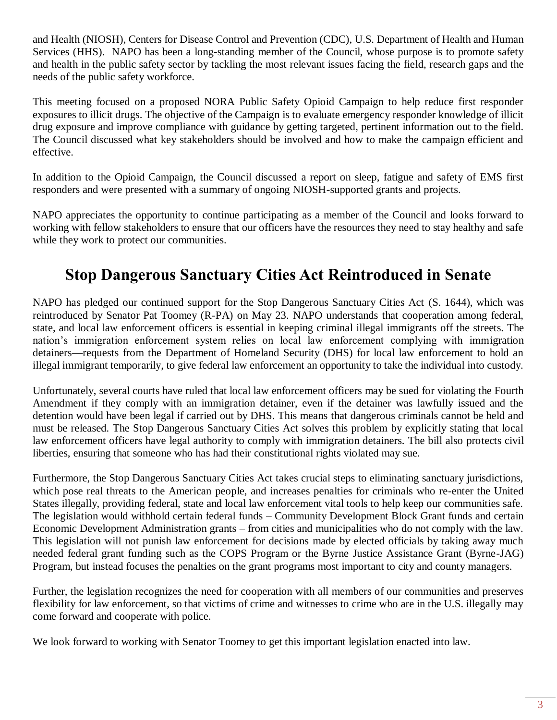and Health (NIOSH), Centers for Disease Control and Prevention (CDC), U.S. Department of Health and Human Services (HHS). NAPO has been a long-standing member of the Council, whose purpose is to promote safety and health in the public safety sector by tackling the most relevant issues facing the field, research gaps and the needs of the public safety workforce.

This meeting focused on a proposed NORA Public Safety Opioid Campaign to help reduce first responder exposures to illicit drugs. The objective of the Campaign is to evaluate emergency responder knowledge of illicit drug exposure and improve compliance with guidance by getting targeted, pertinent information out to the field. The Council discussed what key stakeholders should be involved and how to make the campaign efficient and effective.

In addition to the Opioid Campaign, the Council discussed a report on sleep, fatigue and safety of EMS first responders and were presented with a summary of ongoing NIOSH-supported grants and projects.

NAPO appreciates the opportunity to continue participating as a member of the Council and looks forward to working with fellow stakeholders to ensure that our officers have the resources they need to stay healthy and safe while they work to protect our communities.

#### **Stop Dangerous Sanctuary Cities Act Reintroduced in Senate**

NAPO has pledged our continued support for the Stop Dangerous Sanctuary Cities Act (S. 1644), which was reintroduced by Senator Pat Toomey (R-PA) on May 23. NAPO understands that cooperation among federal, state, and local law enforcement officers is essential in keeping criminal illegal immigrants off the streets. The nation's immigration enforcement system relies on local law enforcement complying with immigration detainers—requests from the Department of Homeland Security (DHS) for local law enforcement to hold an illegal immigrant temporarily, to give federal law enforcement an opportunity to take the individual into custody.

Unfortunately, several courts have ruled that local law enforcement officers may be sued for violating the Fourth Amendment if they comply with an immigration detainer, even if the detainer was lawfully issued and the detention would have been legal if carried out by DHS. This means that dangerous criminals cannot be held and must be released. The Stop Dangerous Sanctuary Cities Act solves this problem by explicitly stating that local law enforcement officers have legal authority to comply with immigration detainers. The bill also protects civil liberties, ensuring that someone who has had their constitutional rights violated may sue.

Furthermore, the Stop Dangerous Sanctuary Cities Act takes crucial steps to eliminating sanctuary jurisdictions, which pose real threats to the American people, and increases penalties for criminals who re-enter the United States illegally, providing federal, state and local law enforcement vital tools to help keep our communities safe. The legislation would withhold certain federal funds – Community Development Block Grant funds and certain Economic Development Administration grants – from cities and municipalities who do not comply with the law. This legislation will not punish law enforcement for decisions made by elected officials by taking away much needed federal grant funding such as the COPS Program or the Byrne Justice Assistance Grant (Byrne-JAG) Program, but instead focuses the penalties on the grant programs most important to city and county managers.

Further, the legislation recognizes the need for cooperation with all members of our communities and preserves flexibility for law enforcement, so that victims of crime and witnesses to crime who are in the U.S. illegally may come forward and cooperate with police.

We look forward to working with Senator Toomey to get this important legislation enacted into law.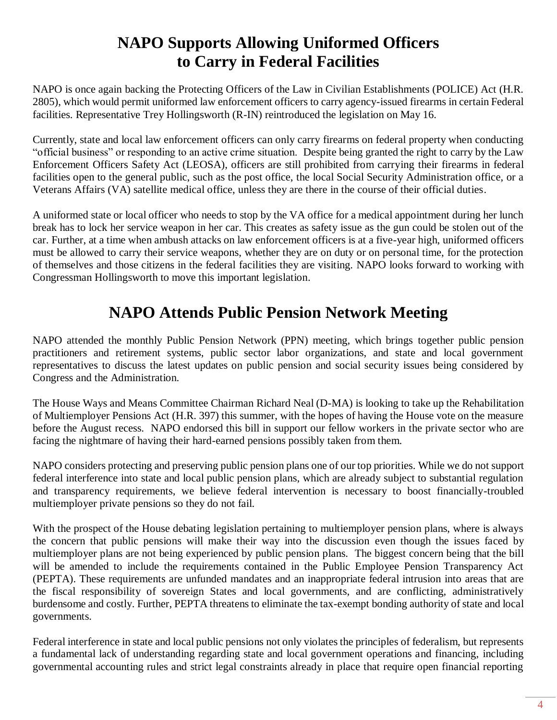#### **NAPO Supports Allowing Uniformed Officers to Carry in Federal Facilities**

NAPO is once again backing the Protecting Officers of the Law in Civilian Establishments (POLICE) Act (H.R. 2805), which would permit uniformed law enforcement officers to carry agency-issued firearms in certain Federal facilities. Representative Trey Hollingsworth (R-IN) reintroduced the legislation on May 16.

Currently, state and local law enforcement officers can only carry firearms on federal property when conducting "official business" or responding to an active crime situation. Despite being granted the right to carry by the Law Enforcement Officers Safety Act (LEOSA), officers are still prohibited from carrying their firearms in federal facilities open to the general public, such as the post office, the local Social Security Administration office, or a Veterans Affairs (VA) satellite medical office, unless they are there in the course of their official duties.

A uniformed state or local officer who needs to stop by the VA office for a medical appointment during her lunch break has to lock her service weapon in her car. This creates as safety issue as the gun could be stolen out of the car. Further, at a time when ambush attacks on law enforcement officers is at a five-year high, uniformed officers must be allowed to carry their service weapons, whether they are on duty or on personal time, for the protection of themselves and those citizens in the federal facilities they are visiting. NAPO looks forward to working with Congressman Hollingsworth to move this important legislation.

## **NAPO Attends Public Pension Network Meeting**

NAPO attended the monthly Public Pension Network (PPN) meeting, which brings together public pension practitioners and retirement systems, public sector labor organizations, and state and local government representatives to discuss the latest updates on public pension and social security issues being considered by Congress and the Administration.

The House Ways and Means Committee Chairman Richard Neal (D-MA) is looking to take up the Rehabilitation of Multiemployer Pensions Act (H.R. 397) this summer, with the hopes of having the House vote on the measure before the August recess. NAPO endorsed this bill in support our fellow workers in the private sector who are facing the nightmare of having their hard-earned pensions possibly taken from them.

NAPO considers protecting and preserving public pension plans one of our top priorities. While we do not support federal interference into state and local public pension plans, which are already subject to substantial regulation and transparency requirements, we believe federal intervention is necessary to boost financially-troubled multiemployer private pensions so they do not fail.

With the prospect of the House debating legislation pertaining to multiemployer pension plans, where is always the concern that public pensions will make their way into the discussion even though the issues faced by multiemployer plans are not being experienced by public pension plans. The biggest concern being that the bill will be amended to include the requirements contained in the Public Employee Pension Transparency Act (PEPTA). These requirements are unfunded mandates and an inappropriate federal intrusion into areas that are the fiscal responsibility of sovereign States and local governments, and are conflicting, administratively burdensome and costly. Further, PEPTA threatens to eliminate the tax-exempt bonding authority of state and local governments.

Federal interference in state and local public pensions not only violates the principles of federalism, but represents a fundamental lack of understanding regarding state and local government operations and financing, including governmental accounting rules and strict legal constraints already in place that require open financial reporting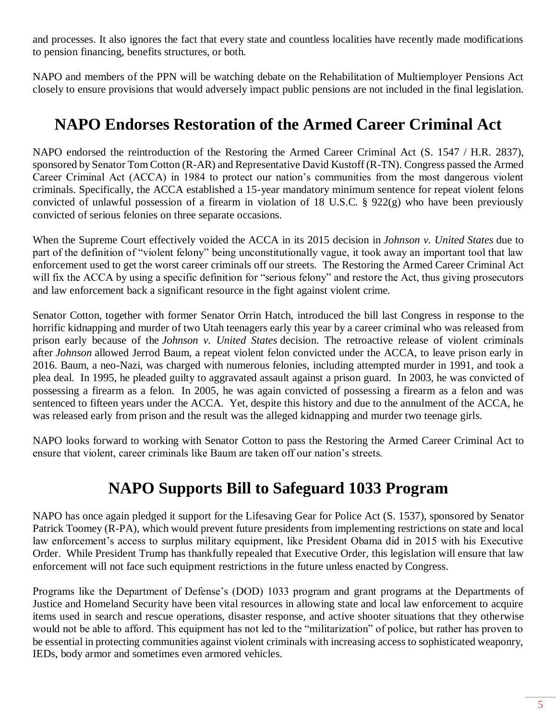and processes. It also ignores the fact that every state and countless localities have recently made modifications to pension financing, benefits structures, or both.

NAPO and members of the PPN will be watching debate on the Rehabilitation of Multiemployer Pensions Act closely to ensure provisions that would adversely impact public pensions are not included in the final legislation.

#### **NAPO Endorses Restoration of the Armed Career Criminal Act**

NAPO endorsed the reintroduction of the Restoring the Armed Career Criminal Act (S. 1547 / H.R. 2837), sponsored by Senator Tom Cotton (R-AR) and Representative David Kustoff (R-TN). Congress passed the Armed Career Criminal Act (ACCA) in 1984 to protect our nation's communities from the most dangerous violent criminals. Specifically, the ACCA established a 15-year mandatory minimum sentence for repeat violent felons convicted of unlawful possession of a firearm in violation of 18 U.S.C. § 922(g) who have been previously convicted of serious felonies on three separate occasions.

When the Supreme Court effectively voided the ACCA in its 2015 decision in *Johnson v. United States* due to part of the definition of "violent felony" being unconstitutionally vague, it took away an important tool that law enforcement used to get the worst career criminals off our streets. The Restoring the Armed Career Criminal Act will fix the ACCA by using a specific definition for "serious felony" and restore the Act, thus giving prosecutors and law enforcement back a significant resource in the fight against violent crime.

Senator Cotton, together with former Senator Orrin Hatch, introduced the bill last Congress in response to the horrific kidnapping and murder of two Utah teenagers early this year by a career criminal who was released from prison early because of the *Johnson v. United States* decision. The retroactive release of violent criminals after *Johnson* allowed Jerrod Baum, a repeat violent felon convicted under the ACCA, to leave prison early in 2016. Baum, a neo-Nazi, was charged with numerous felonies, including attempted murder in 1991, and took a plea deal. In 1995, he pleaded guilty to aggravated assault against a prison guard. In 2003, he was convicted of possessing a firearm as a felon. In 2005, he was again convicted of possessing a firearm as a felon and was sentenced to fifteen years under the ACCA. Yet, despite this history and due to the annulment of the ACCA, he was released early from prison and the result was the alleged kidnapping and murder two teenage girls.

NAPO looks forward to working with Senator Cotton to pass the Restoring the Armed Career Criminal Act to ensure that violent, career criminals like Baum are taken off our nation's streets.

#### **NAPO Supports Bill to Safeguard 1033 Program**

NAPO has once again pledged it support for the Lifesaving Gear for Police Act (S. 1537), sponsored by Senator Patrick Toomey (R-PA), which would prevent future presidents from implementing restrictions on state and local law enforcement's access to surplus military equipment, like President Obama did in 2015 with his Executive Order. While President Trump has thankfully repealed that Executive Order, this legislation will ensure that law enforcement will not face such equipment restrictions in the future unless enacted by Congress.

Programs like the Department of Defense's (DOD) 1033 program and grant programs at the Departments of Justice and Homeland Security have been vital resources in allowing state and local law enforcement to acquire items used in search and rescue operations, disaster response, and active shooter situations that they otherwise would not be able to afford. This equipment has not led to the "militarization" of police, but rather has proven to be essential in protecting communities against violent criminals with increasing access to sophisticated weaponry, IEDs, body armor and sometimes even armored vehicles.